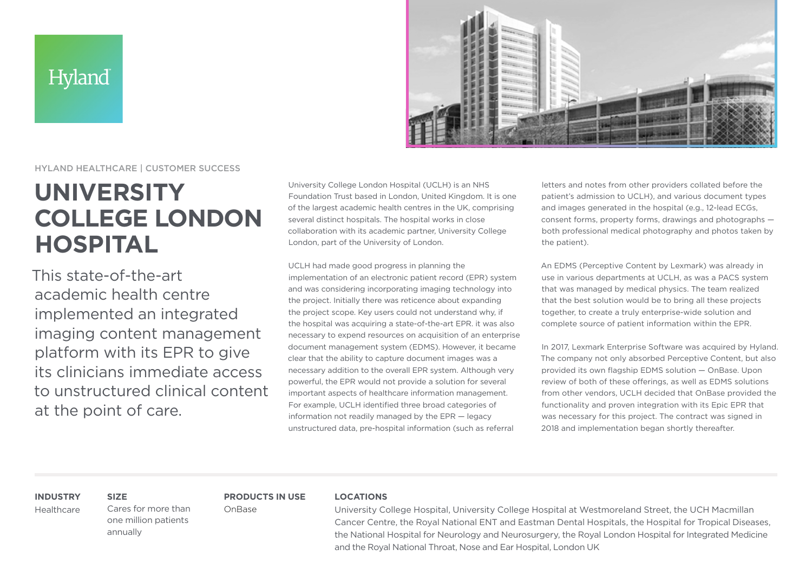## Hyland



### HYLAND HEALTHCARE | CUSTOMER SUCCESS

# **UNIVERSITY COLLEGE LONDON HOSPITAL**

This state-of-the-art academic health centre implemented an integrated imaging content management platform with its EPR to give its clinicians immediate access to unstructured clinical content at the point of care.

University College London Hospital (UCLH) is an NHS Foundation Trust based in London, United Kingdom. It is one of the largest academic health centres in the UK, comprising several distinct hospitals. The hospital works in close collaboration with its academic partner, University College London, part of the University of London.

UCLH had made good progress in planning the implementation of an electronic patient record (EPR) system and was considering incorporating imaging technology into the project. Initially there was reticence about expanding the project scope. Key users could not understand why, if the hospital was acquiring a state-of-the-art EPR. it was also necessary to expend resources on acquisition of an enterprise document management system (EDMS). However, it became clear that the ability to capture document images was a necessary addition to the overall EPR system. Although very powerful, the EPR would not provide a solution for several important aspects of healthcare information management. For example, UCLH identified three broad categories of information not readily managed by the EPR — legacy unstructured data, pre-hospital information (such as referral

letters and notes from other providers collated before the patient's admission to UCLH), and various document types and images generated in the hospital (e.g., 12-lead ECGs, consent forms, property forms, drawings and photographs both professional medical photography and photos taken by the patient).

An EDMS (Perceptive Content by Lexmark) was already in use in various departments at UCLH, as was a PACS system that was managed by medical physics. The team realized that the best solution would be to bring all these projects together, to create a truly enterprise-wide solution and complete source of patient information within the EPR.

In 2017, Lexmark Enterprise Software was acquired by Hyland. The company not only absorbed Perceptive Content, but also provided its own flagship EDMS solution — OnBase. Upon review of both of these offerings, as well as EDMS solutions from other vendors, UCLH decided that OnBase provided the functionality and proven integration with its Epic EPR that was necessary for this project. The contract was signed in 2018 and implementation began shortly thereafter.

### **INDUSTRY**

Healthcare

Cares for more than one million patients annually

**SIZE**

**PRODUCTS IN USE** OnBase

#### **LOCATIONS**

University College Hospital, University College Hospital at Westmoreland Street, the UCH Macmillan Cancer Centre, the Royal National ENT and Eastman Dental Hospitals, the Hospital for Tropical Diseases, the National Hospital for Neurology and Neurosurgery, the Royal London Hospital for Integrated Medicine and the Royal National Throat, Nose and Ear Hospital, London UK